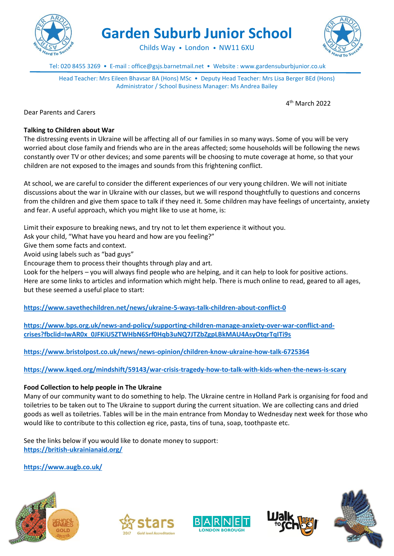

**Garden Suburb Junior School**

Childs Way • London • NW11 6XU

Tel: 020 8455 3269 • E-mail : office@gsjs.barnetmail.net • Website : www.gardensuburbjunior.co.uk

Head Teacher: Mrs Eileen Bhavsar BA (Hons) MSc • Deputy Head Teacher: Mrs Lisa Berger BEd (Hons) Administrator / School Business Manager: Ms Andrea Bailey

4 th March 2022

Dear Parents and Carers

### **Talking to Children about War**

The distressing events in Ukraine will be affecting all of our families in so many ways. Some of you will be very worried about close family and friends who are in the areas affected; some households will be following the news constantly over TV or other devices; and some parents will be choosing to mute coverage at home, so that your children are not exposed to the images and sounds from this frightening conflict.

At school, we are careful to consider the different experiences of our very young children. We will not initiate discussions about the war in Ukraine with our classes, but we will respond thoughtfully to questions and concerns from the children and give them space to talk if they need it. Some children may have feelings of uncertainty, anxiety and fear. A useful approach, which you might like to use at home, is:

Limit their exposure to breaking news, and try not to let them experience it without you.

Ask your child, "What have you heard and how are you feeling?"

Give them some facts and context.

Avoid using labels such as "bad guys"

Encourage them to process their thoughts through play and art.

Look for the helpers – you will always find people who are helping, and it can help to look for positive actions. Here are some links to articles and information which might help. There is much online to read, geared to all ages, but these seemed a useful place to start:

**<https://www.savethechildren.net/news/ukraine-5-ways-talk-children-about-conflict-0>**

**[https://www.bps.org.uk/news-and-policy/supporting-children-manage-anxiety-over-war-conflict-and](https://www.bps.org.uk/news-and-policy/supporting-children-manage-anxiety-over-war-conflict-and-crises?fbclid=IwAR0x_0JFKiU5ZTWHbN6Srf0Hqb3uNQ7JTZbZgpLBkMAU4AsyOtqrTqITi9s)[crises?fbclid=IwAR0x\\_0JFKiU5ZTWHbN6Srf0Hqb3uNQ7JTZbZgpLBkMAU4AsyOtqrTqITi9s](https://www.bps.org.uk/news-and-policy/supporting-children-manage-anxiety-over-war-conflict-and-crises?fbclid=IwAR0x_0JFKiU5ZTWHbN6Srf0Hqb3uNQ7JTZbZgpLBkMAU4AsyOtqrTqITi9s)**

**<https://www.bristolpost.co.uk/news/news-opinion/children-know-ukraine-how-talk-6725364>**

**<https://www.kqed.org/mindshift/59143/war-crisis-tragedy-how-to-talk-with-kids-when-the-news-is-scary>**

#### **Food Collection to help people in The Ukraine**

Many of our community want to do something to help. The Ukraine centre in Holland Park is organising for food and toiletries to be taken out to The Ukraine to support during the current situation. We are collecting cans and dried goods as well as toiletries. Tables will be in the main entrance from Monday to Wednesday next week for those who would like to contribute to this collection eg rice, pasta, tins of tuna, soap, toothpaste etc.

See the links below if you would like to donate money to support: **<https://british-ukrainianaid.org/>**

**<https://www.augb.co.uk/>**









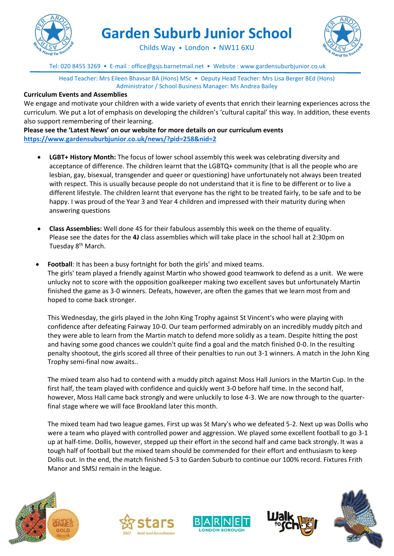

**Garden Suburb Junior School**



Childs Way • London • NW11 6XU

Tel: 020 8455 3269 • E-mail : office@gsjs.barnetmail.net • Website : www.gardensuburbjunior.co.uk

Head Teacher: Mrs Eileen Bhavsar BA (Hons) MSc • Deputy Head Teacher: Mrs Lisa Berger BEd (Hons) Administrator / School Business Manager: Ms Andrea Bailey

### **Curriculum Events and Assemblies**

We engage and motivate your children with a wide variety of events that enrich their learning experiences across the curriculum. We put a lot of emphasis on developing the children's 'cultural capital' this way. In addition, these events also support remembering of their learning.

**Please see the 'Latest News' on our website for more details on our curriculum events <https://www.gardensuburbjunior.co.uk/news/?pid=258&nid=2>**

- **LGBT+ History Month:** The focus of lower school assembly this week was celebrating diversity and acceptance of difference. The children learnt that the LGBTQ+ community (that is all the people who are lesbian, gay, bisexual, transgender and queer or questioning) have unfortunately not always been treated with respect. This is usually because people do not understand that it is fine to be different or to live a different lifestyle. The children learnt that everyone has the right to be treated fairly, to be safe and to be happy. I was proud of the Year 3 and Year 4 children and impressed with their maturity during when answering questions
- **Class Assemblies:** Well done 4S for their fabulous assembly this week on the theme of equality. Please see the dates for the **4J** class assemblies which will take place in the school hall at 2:30pm on Tuesday 8<sup>th</sup> March.
- **Football:** It has been a busy fortnight for both the girls' and mixed teams. The girls' team played a friendly against Martin who showed good teamwork to defend as a unit. We were unlucky not to score with the opposition goalkeeper making two excellent saves but unfortunately Martin finished the game as 3-0 winners. Defeats, however, are often the games that we learn most from and hoped to come back stronger.

This Wednesday, the girls played in the John King Trophy against St Vincent's who were playing with confidence after defeating Fairway 10-0. Our team performed admirably on an incredibly muddy pitch and they were able to learn from the Martin match to defend more solidly as a team. Despite hitting the post and having some good chances we couldn't quite find a goal and the match finished 0-0. In the resulting penalty shootout, the girls scored all three of their penalties to run out 3-1 winners. A match in the John King Trophy semi-final now awaits..

The mixed team also had to contend with a muddy pitch against Moss Hall Juniors in the Martin Cup. In the first half, the team played with confidence and quickly went 3-0 before half time. In the second half, however, Moss Hall came back strongly and were unluckily to lose 4-3. We are now through to the quarterfinal stage where we will face Brookland later this month.

The mixed team had two league games. First up was St Mary's who we defeated 5-2. Next up was Dollis who were a team who played with controlled power and aggression. We played some excellent football to go 3-1 up at half-time. Dollis, however, stepped up their effort in the second half and came back strongly. It was a tough half of football but the mixed team should be commended for their effort and enthusiasm to keep Dollis out. In the end, the match finished 5-3 to Garden Suburb to continue our 100% record. Fixtures Frith Manor and SMSJ remain in the league.